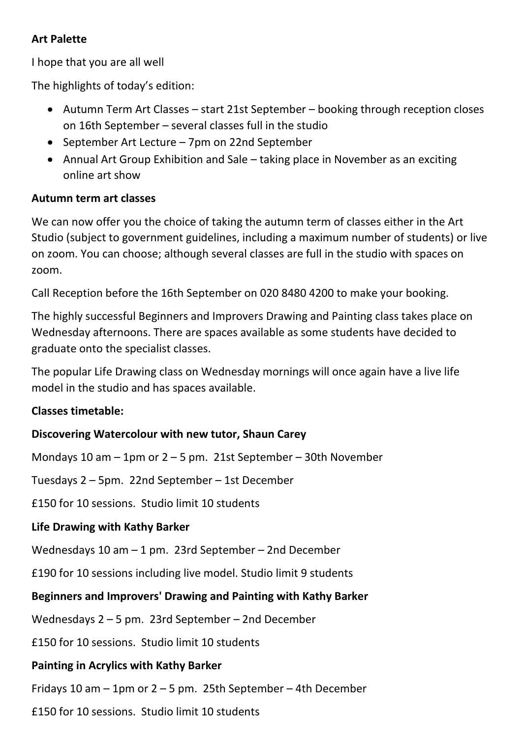#### **Art Palette**

I hope that you are all well

The highlights of today's edition:

- Autumn Term Art Classes start 21st September booking through reception closes on 16th September – several classes full in the studio
- September Art Lecture 7pm on 22nd September
- Annual Art Group Exhibition and Sale taking place in November as an exciting online art show

## **Autumn term art classes**

We can now offer you the choice of taking the autumn term of classes either in the Art Studio (subject to government guidelines, including a maximum number of students) or live on zoom. You can choose; although several classes are full in the studio with spaces on zoom.

Call Reception before the 16th September on 020 8480 4200 to make your booking.

The highly successful Beginners and Improvers Drawing and Painting class takes place on Wednesday afternoons. There are spaces available as some students have decided to graduate onto the specialist classes.

The popular Life Drawing class on Wednesday mornings will once again have a live life model in the studio and has spaces available.

## **Classes timetable:**

## **Discovering Watercolour with new tutor, Shaun Carey**

Mondays 10 am – 1pm or 2 – 5 pm. 21st September – 30th November

Tuesdays 2 – 5pm. 22nd September – 1st December

£150 for 10 sessions. Studio limit 10 students

# **Life Drawing with Kathy Barker**

Wednesdays 10 am – 1 pm. 23rd September – 2nd December

£190 for 10 sessions including live model. Studio limit 9 students

# **Beginners and Improvers' Drawing and Painting with Kathy Barker**

Wednesdays 2 – 5 pm. 23rd September – 2nd December

£150 for 10 sessions. Studio limit 10 students

## **Painting in Acrylics with Kathy Barker**

Fridays 10 am  $-$  1pm or 2 – 5 pm. 25th September – 4th December

£150 for 10 sessions. Studio limit 10 students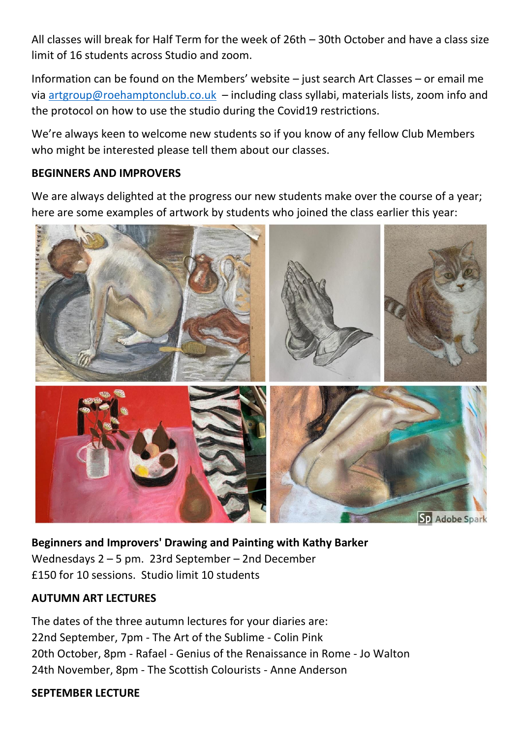All classes will break for Half Term for the week of 26th – 30th October and have a class size limit of 16 students across Studio and zoom.

Information can be found on the Members' website – just search Art Classes – or email me via [artgroup@roehamptonclub.co.uk](mailto:artgroup@roehamptonclub.co.uk) – including class syllabi, materials lists, zoom info and the protocol on how to use the studio during the Covid19 restrictions.

We're always keen to welcome new students so if you know of any fellow Club Members who might be interested please tell them about our classes.

#### **BEGINNERS AND IMPROVERS**

We are always delighted at the progress our new students make over the course of a year; here are some examples of artwork by students who joined the class earlier this year:



**Beginners and Improvers' Drawing and Painting with Kathy Barker** Wednesdays 2 – 5 pm. 23rd September – 2nd December £150 for 10 sessions. Studio limit 10 students

#### **AUTUMN ART LECTURES**

The dates of the three autumn lectures for your diaries are: 22nd September, 7pm - The Art of the Sublime - Colin Pink 20th October, 8pm - Rafael - Genius of the Renaissance in Rome - Jo Walton 24th November, 8pm - The Scottish Colourists - Anne Anderson

#### **SEPTEMBER LECTURE**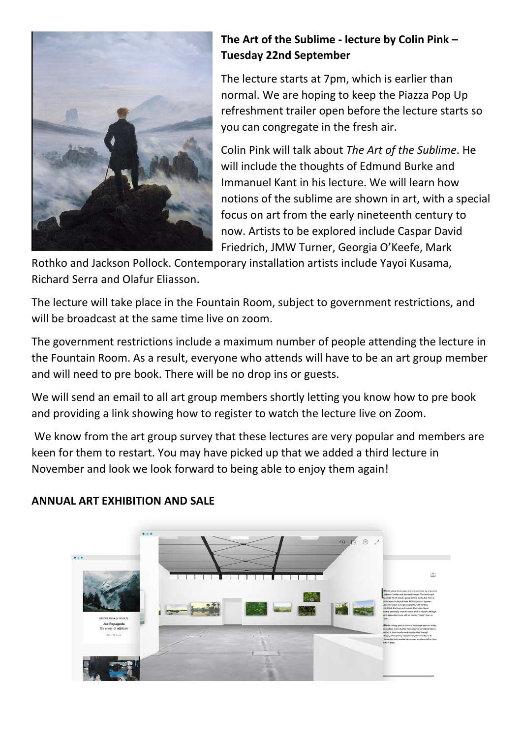

# **The Art of the Sublime - lecture by Colin Pink – Tuesday 22nd September**

The lecture starts at 7pm, which is earlier than normal. We are hoping to keep the Piazza Pop Up refreshment trailer open before the lecture starts so you can congregate in the fresh air.

Colin Pink will talk about *The Art of the Sublime*. He will include the thoughts of Edmund Burke and Immanuel Kant in his lecture. We will learn how notions of the sublime are shown in art, with a special focus on art from the early nineteenth century to now. Artists to be explored include Caspar David Friedrich, JMW Turner, Georgia O'Keefe, Mark

Rothko and Jackson Pollock. Contemporary installation artists include Yayoi Kusama, Richard Serra and Olafur Eliasson.

The lecture will take place in the Fountain Room, subject to government restrictions, and will be broadcast at the same time live on zoom.

The government restrictions include a maximum number of people attending the lecture in the Fountain Room. As a result, everyone who attends will have to be an art group member and will need to pre book. There will be no drop ins or guests.

We will send an email to all art group members shortly letting you know how to pre book and providing a link showing how to register to watch the lecture live on Zoom.

We know from the art group survey that these lectures are very popular and members are keen for them to restart. You may have picked up that we added a third lecture in November and look we look forward to being able to enjoy them again!



# **ANNUAL ART EXHIBITION AND SALE**